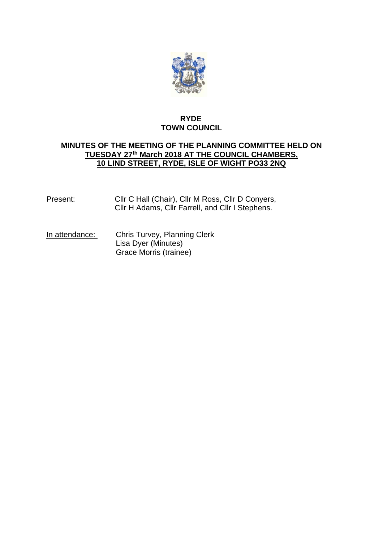

# **RYDE TOWN COUNCIL**

# **MINUTES OF THE MEETING OF THE PLANNING COMMITTEE HELD ON TUESDAY 27th March 2018 AT THE COUNCIL CHAMBERS, 10 LIND STREET, RYDE, ISLE OF WIGHT PO33 2NQ**

Present: Cllr C Hall (Chair), Cllr M Ross, Cllr D Conyers, Cllr H Adams, Cllr Farrell, and Cllr I Stephens.

In attendance: Chris Turvey, Planning Clerk Lisa Dyer (Minutes) Grace Morris (trainee)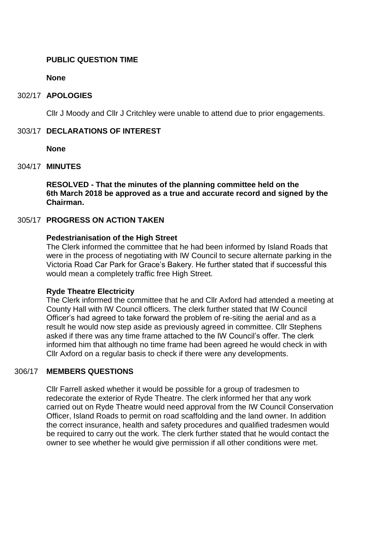#### **PUBLIC QUESTION TIME**

**None**

#### 302/17 **APOLOGIES**

Cllr J Moody and Cllr J Critchley were unable to attend due to prior engagements.

#### 303/17 **DECLARATIONS OF INTEREST**

**None**

#### 304/17 **MINUTES**

**RESOLVED - That the minutes of the planning committee held on the 6th March 2018 be approved as a true and accurate record and signed by the Chairman.**

#### 305/17 **PROGRESS ON ACTION TAKEN**

#### **Pedestrianisation of the High Street**

The Clerk informed the committee that he had been informed by Island Roads that were in the process of negotiating with IW Council to secure alternate parking in the Victoria Road Car Park for Grace's Bakery. He further stated that if successful this would mean a completely traffic free High Street.

#### **Ryde Theatre Electricity**

The Clerk informed the committee that he and Cllr Axford had attended a meeting at County Hall with IW Council officers. The clerk further stated that IW Council Officer's had agreed to take forward the problem of re-siting the aerial and as a result he would now step aside as previously agreed in committee. Cllr Stephens asked if there was any time frame attached to the IW Council's offer. The clerk informed him that although no time frame had been agreed he would check in with Cllr Axford on a regular basis to check if there were any developments.

#### 306/17 **MEMBERS QUESTIONS**

Cllr Farrell asked whether it would be possible for a group of tradesmen to redecorate the exterior of Ryde Theatre. The clerk informed her that any work carried out on Ryde Theatre would need approval from the IW Council Conservation Officer, Island Roads to permit on road scaffolding and the land owner. In addition the correct insurance, health and safety procedures and qualified tradesmen would be required to carry out the work. The clerk further stated that he would contact the owner to see whether he would give permission if all other conditions were met.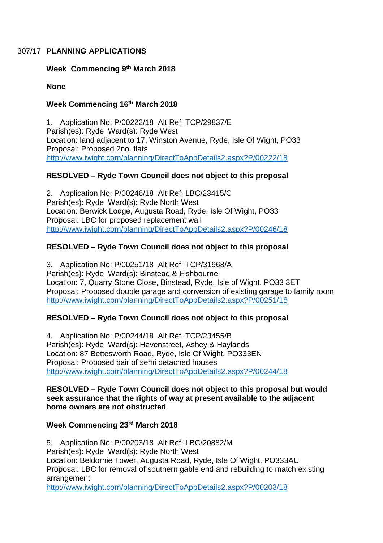### 307/17 **PLANNING APPLICATIONS**

#### **Week Commencing 9th March 2018**

**None**

# **Week Commencing 16th March 2018**

1. Application No: P/00222/18 Alt Ref: TCP/29837/E Parish(es): Ryde Ward(s): Ryde West Location: land adjacent to 17, Winston Avenue, Ryde, Isle Of Wight, PO33 Proposal: Proposed 2no. flats <http://www.iwight.com/planning/DirectToAppDetails2.aspx?P/00222/18>

# **RESOLVED – Ryde Town Council does not object to this proposal**

2. Application No: P/00246/18 Alt Ref: LBC/23415/C Parish(es): Ryde Ward(s): Ryde North West Location: Berwick Lodge, Augusta Road, Ryde, Isle Of Wight, PO33 Proposal: LBC for proposed replacement wall <http://www.iwight.com/planning/DirectToAppDetails2.aspx?P/00246/18>

# **RESOLVED – Ryde Town Council does not object to this proposal**

3. Application No: P/00251/18 Alt Ref: TCP/31968/A Parish(es): Ryde Ward(s): Binstead & Fishbourne Location: 7, Quarry Stone Close, Binstead, Ryde, Isle of Wight, PO33 3ET Proposal: Proposed double garage and conversion of existing garage to family room <http://www.iwight.com/planning/DirectToAppDetails2.aspx?P/00251/18>

# **RESOLVED – Ryde Town Council does not object to this proposal**

4. Application No: P/00244/18 Alt Ref: TCP/23455/B Parish(es): Ryde Ward(s): Havenstreet, Ashey & Haylands Location: 87 Bettesworth Road, Ryde, Isle Of Wight, PO333EN Proposal: Proposed pair of semi detached houses <http://www.iwight.com/planning/DirectToAppDetails2.aspx?P/00244/18>

#### **RESOLVED – Ryde Town Council does not object to this proposal but would seek assurance that the rights of way at present available to the adjacent home owners are not obstructed**

# **Week Commencing 23rd March 2018**

5. Application No: P/00203/18 Alt Ref: LBC/20882/M Parish(es): Ryde Ward(s): Ryde North West Location: Beldornie Tower, Augusta Road, Ryde, Isle Of Wight, PO333AU Proposal: LBC for removal of southern gable end and rebuilding to match existing arrangement <http://www.iwight.com/planning/DirectToAppDetails2.aspx?P/00203/18>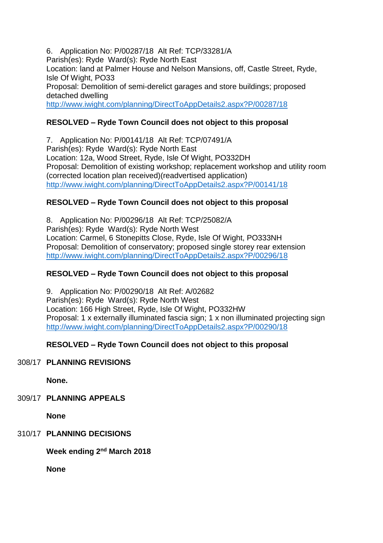6. Application No: P/00287/18 Alt Ref: TCP/33281/A Parish(es): Ryde Ward(s): Ryde North East Location: land at Palmer House and Nelson Mansions, off, Castle Street, Ryde, Isle Of Wight, PO33 Proposal: Demolition of semi-derelict garages and store buildings; proposed detached dwelling <http://www.iwight.com/planning/DirectToAppDetails2.aspx?P/00287/18>

# **RESOLVED – Ryde Town Council does not object to this proposal**

7. Application No: P/00141/18 Alt Ref: TCP/07491/A Parish(es): Ryde Ward(s): Ryde North East Location: 12a, Wood Street, Ryde, Isle Of Wight, PO332DH Proposal: Demolition of existing workshop; replacement workshop and utility room (corrected location plan received)(readvertised application) <http://www.iwight.com/planning/DirectToAppDetails2.aspx?P/00141/18>

# **RESOLVED – Ryde Town Council does not object to this proposal**

8. Application No: P/00296/18 Alt Ref: TCP/25082/A Parish(es): Ryde Ward(s): Ryde North West Location: Carmel, 6 Stonepitts Close, Ryde, Isle Of Wight, PO333NH Proposal: Demolition of conservatory; proposed single storey rear extension <http://www.iwight.com/planning/DirectToAppDetails2.aspx?P/00296/18>

# **RESOLVED – Ryde Town Council does not object to this proposal**

9. Application No: P/00290/18 Alt Ref: A/02682 Parish(es): Ryde Ward(s): Ryde North West Location: 166 High Street, Ryde, Isle Of Wight, PO332HW Proposal: 1 x externally illuminated fascia sign; 1 x non illuminated projecting sign <http://www.iwight.com/planning/DirectToAppDetails2.aspx?P/00290/18>

# **RESOLVED – Ryde Town Council does not object to this proposal**

# 308/17 **PLANNING REVISIONS**

**None.**

309/17 **PLANNING APPEALS**

**None**

# 310/17 **PLANNING DECISIONS**

 $\mathsf{Week}$  ending 2<sup>nd</sup> March 2018

**None**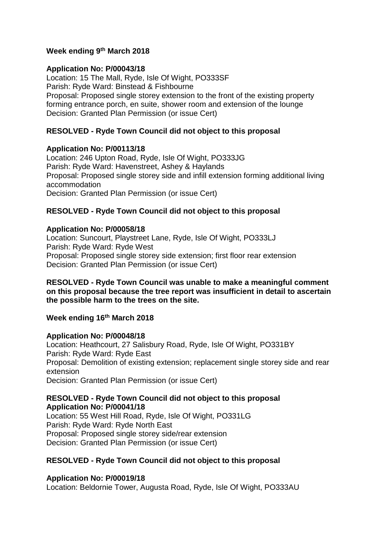# **Week ending 9 th March 2018**

#### **Application No: P/00043/18**

Location: 15 The Mall, Ryde, Isle Of Wight, PO333SF Parish: Ryde Ward: Binstead & Fishbourne Proposal: Proposed single storey extension to the front of the existing property forming entrance porch, en suite, shower room and extension of the lounge Decision: Granted Plan Permission (or issue Cert)

### **RESOLVED - Ryde Town Council did not object to this proposal**

#### **Application No: P/00113/18**

Location: 246 Upton Road, Ryde, Isle Of Wight, PO333JG Parish: Ryde Ward: Havenstreet, Ashey & Haylands Proposal: Proposed single storey side and infill extension forming additional living accommodation Decision: Granted Plan Permission (or issue Cert)

### **RESOLVED - Ryde Town Council did not object to this proposal**

#### **Application No: P/00058/18**

Location: Suncourt, Playstreet Lane, Ryde, Isle Of Wight, PO333LJ Parish: Ryde Ward: Ryde West Proposal: Proposed single storey side extension; first floor rear extension Decision: Granted Plan Permission (or issue Cert)

#### **RESOLVED - Ryde Town Council was unable to make a meaningful comment on this proposal because the tree report was insufficient in detail to ascertain the possible harm to the trees on the site.**

#### **Week ending 16th March 2018**

#### **Application No: P/00048/18**

Location: Heathcourt, 27 Salisbury Road, Ryde, Isle Of Wight, PO331BY Parish: Ryde Ward: Ryde East Proposal: Demolition of existing extension; replacement single storey side and rear extension Decision: Granted Plan Permission (or issue Cert)

#### **RESOLVED - Ryde Town Council did not object to this proposal Application No: P/00041/18**

Location: 55 West Hill Road, Ryde, Isle Of Wight, PO331LG Parish: Ryde Ward: Ryde North East Proposal: Proposed single storey side/rear extension Decision: Granted Plan Permission (or issue Cert)

#### **RESOLVED - Ryde Town Council did not object to this proposal**

#### **Application No: P/00019/18**

Location: Beldornie Tower, Augusta Road, Ryde, Isle Of Wight, PO333AU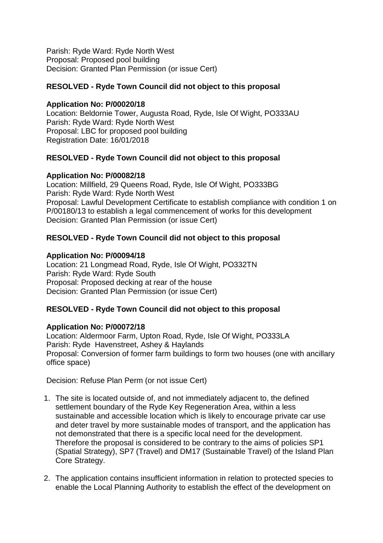Parish: Ryde Ward: Ryde North West Proposal: Proposed pool building Decision: Granted Plan Permission (or issue Cert)

### **RESOLVED - Ryde Town Council did not object to this proposal**

#### **Application No: P/00020/18**

Location: Beldornie Tower, Augusta Road, Ryde, Isle Of Wight, PO333AU Parish: Ryde Ward: Ryde North West Proposal: LBC for proposed pool building Registration Date: 16/01/2018

#### **RESOLVED - Ryde Town Council did not object to this proposal**

#### **Application No: P/00082/18**

Location: Millfield, 29 Queens Road, Ryde, Isle Of Wight, PO333BG Parish: Ryde Ward: Ryde North West Proposal: Lawful Development Certificate to establish compliance with condition 1 on P/00180/13 to establish a legal commencement of works for this development Decision: Granted Plan Permission (or issue Cert)

### **RESOLVED - Ryde Town Council did not object to this proposal**

#### **Application No: P/00094/18**

Location: 21 Longmead Road, Ryde, Isle Of Wight, PO332TN Parish: Ryde Ward: Ryde South Proposal: Proposed decking at rear of the house Decision: Granted Plan Permission (or issue Cert)

#### **RESOLVED - Ryde Town Council did not object to this proposal**

#### **Application No: P/00072/18**

Location: Aldermoor Farm, Upton Road, Ryde, Isle Of Wight, PO333LA Parish: Ryde Havenstreet, Ashey & Haylands Proposal: Conversion of former farm buildings to form two houses (one with ancillary office space)

Decision: Refuse Plan Perm (or not issue Cert)

- 1. The site is located outside of, and not immediately adjacent to, the defined settlement boundary of the Ryde Key Regeneration Area, within a less sustainable and accessible location which is likely to encourage private car use and deter travel by more sustainable modes of transport, and the application has not demonstrated that there is a specific local need for the development. Therefore the proposal is considered to be contrary to the aims of policies SP1 (Spatial Strategy), SP7 (Travel) and DM17 (Sustainable Travel) of the Island Plan Core Strategy.
- 2. The application contains insufficient information in relation to protected species to enable the Local Planning Authority to establish the effect of the development on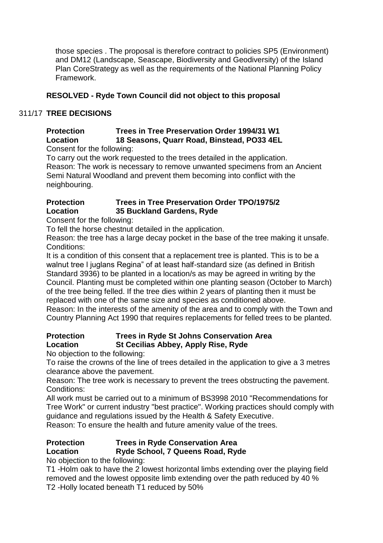those species . The proposal is therefore contract to policies SP5 (Environment) and DM12 (Landscape, Seascape, Biodiversity and Geodiversity) of the Island Plan CoreStrategy as well as the requirements of the National Planning Policy Framework.

# **RESOLVED - Ryde Town Council did not object to this proposal**

# 311/17 **TREE DECISIONS**

# **Protection Trees in Tree Preservation Order 1994/31 W1 Location 18 Seasons, Quarr Road, Binstead, PO33 4EL**

Consent for the following:

To carry out the work requested to the trees detailed in the application. Reason: The work is necessary to remove unwanted specimens from an Ancient Semi Natural Woodland and prevent them becoming into conflict with the neighbouring.

# **Protection Trees in Tree Preservation Order TPO/1975/2 Location 35 Buckland Gardens, Ryde**

Consent for the following:

To fell the horse chestnut detailed in the application.

Reason: the tree has a large decay pocket in the base of the tree making it unsafe. Conditions:

It is a condition of this consent that a replacement tree is planted. This is to be a walnut tree l juglans Regina" of at least half-standard size (as defined in British Standard 3936) to be planted in a location/s as may be agreed in writing by the Council. Planting must be completed within one planting season (October to March) of the tree being felled. If the tree dies within 2 years of planting then it must be replaced with one of the same size and species as conditioned above.

Reason: In the interests of the amenity of the area and to comply with the Town and Country Planning Act 1990 that requires replacements for felled trees to be planted.

# **Protection Trees in Ryde St Johns Conservation Area Location St Cecilias Abbey, Apply Rise, Ryde**

No objection to the following:

To raise the crowns of the line of trees detailed in the application to give a 3 metres clearance above the pavement.

Reason: The tree work is necessary to prevent the trees obstructing the pavement. Conditions:

All work must be carried out to a minimum of BS3998 2010 "Recommendations for Tree Work" or current industry "best practice". Working practices should comply with guidance and regulations issued by the Health & Safety Executive.

Reason: To ensure the health and future amenity value of the trees.

# **Protection Trees in Ryde Conservation Area**

# **Location Ryde School, 7 Queens Road, Ryde**

No objection to the following:

T1 -Holm oak to have the 2 lowest horizontal limbs extending over the playing field removed and the lowest opposite limb extending over the path reduced by 40 % T2 -Holly located beneath T1 reduced by 50%